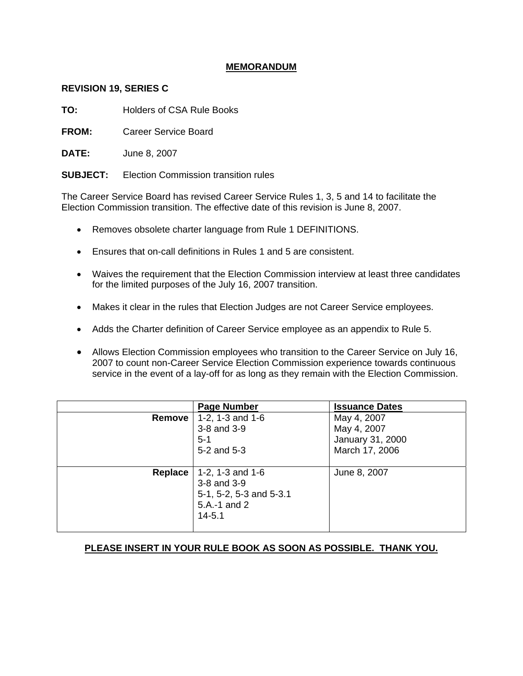# **MEMORANDUM**

## **REVISION 19, SERIES C**

**TO:** Holders of CSA Rule Books

**FROM:** Career Service Board

**DATE:** June 8, 2007

**SUBJECT:** Election Commission transition rules

The Career Service Board has revised Career Service Rules 1, 3, 5 and 14 to facilitate the Election Commission transition. The effective date of this revision is June 8, 2007.

- Removes obsolete charter language from Rule 1 DEFINITIONS.
- Ensures that on-call definitions in Rules 1 and 5 are consistent.
- Waives the requirement that the Election Commission interview at least three candidates for the limited purposes of the July 16, 2007 transition.
- Makes it clear in the rules that Election Judges are not Career Service employees.
- Adds the Charter definition of Career Service employee as an appendix to Rule 5.
- Allows Election Commission employees who transition to the Career Service on July 16, 2007 to count non-Career Service Election Commission experience towards continuous service in the event of a lay-off for as long as they remain with the Election Commission.

|                | <b>Page Number</b>                                                                         | <b>Issuance Dates</b>                                            |
|----------------|--------------------------------------------------------------------------------------------|------------------------------------------------------------------|
| <b>Remove</b>  | 1-2, 1-3 and $1-6$<br>3-8 and 3-9<br>$5 - 1$<br>5-2 and 5-3                                | May 4, 2007<br>May 4, 2007<br>January 31, 2000<br>March 17, 2006 |
| <b>Replace</b> | 1-2, 1-3 and $1-6$<br>3-8 and 3-9<br>5-1, 5-2, 5-3 and 5-3.1<br>5.A.-1 and 2<br>$14 - 5.1$ | June 8, 2007                                                     |

# **PLEASE INSERT IN YOUR RULE BOOK AS SOON AS POSSIBLE. THANK YOU.**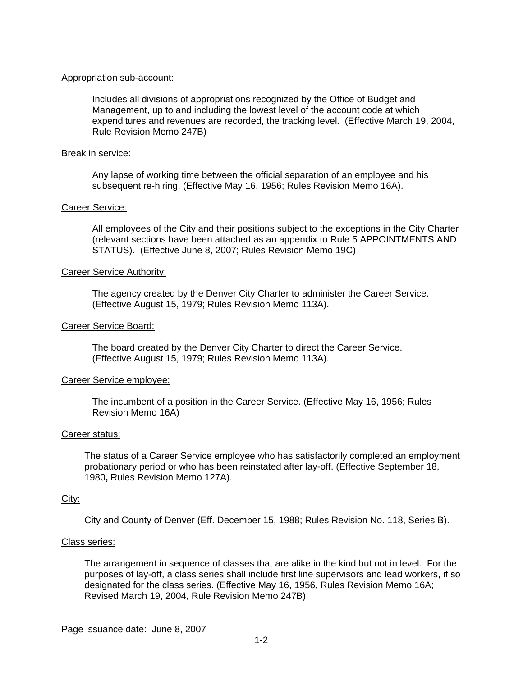### Appropriation sub-account:

Includes all divisions of appropriations recognized by the Office of Budget and Management, up to and including the lowest level of the account code at which expenditures and revenues are recorded, the tracking level. (Effective March 19, 2004, Rule Revision Memo 247B)

### Break in service:

Any lapse of working time between the official separation of an employee and his subsequent re-hiring. (Effective May 16, 1956; Rules Revision Memo 16A).

## Career Service:

All employees of the City and their positions subject to the exceptions in the City Charter (relevant sections have been attached as an appendix to Rule 5 APPOINTMENTS AND STATUS). (Effective June 8, 2007; Rules Revision Memo 19C)

### Career Service Authority:

The agency created by the Denver City Charter to administer the Career Service. (Effective August 15, 1979; Rules Revision Memo 113A).

### Career Service Board:

The board created by the Denver City Charter to direct the Career Service. (Effective August 15, 1979; Rules Revision Memo 113A).

#### Career Service employee:

The incumbent of a position in the Career Service. (Effective May 16, 1956; Rules Revision Memo 16A)

#### Career status:

The status of a Career Service employee who has satisfactorily completed an employment probationary period or who has been reinstated after lay-off. (Effective September 18, 1980**,** Rules Revision Memo 127A).

#### City:

City and County of Denver (Eff. December 15, 1988; Rules Revision No. 118, Series B).

#### Class series:

The arrangement in sequence of classes that are alike in the kind but not in level. For the purposes of lay-off, a class series shall include first line supervisors and lead workers, if so designated for the class series. (Effective May 16, 1956, Rules Revision Memo 16A; Revised March 19, 2004, Rule Revision Memo 247B)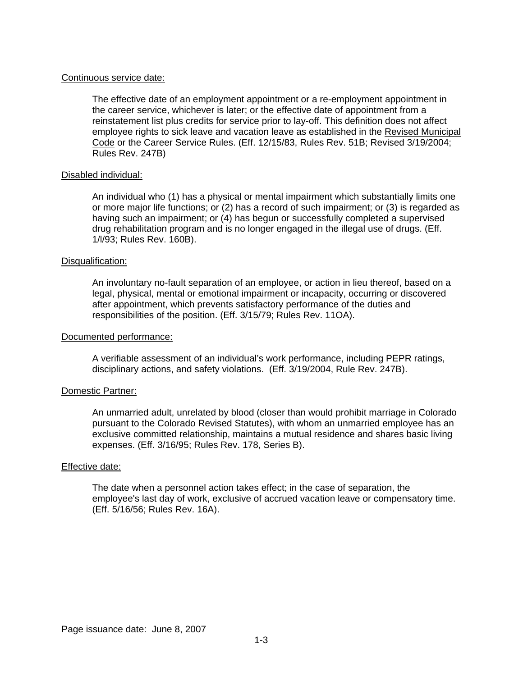## Continuous service date:

The effective date of an employment appointment or a re-employment appointment in the career service, whichever is later; or the effective date of appointment from a reinstatement list plus credits for service prior to lay-off. This definition does not affect employee rights to sick leave and vacation leave as established in the Revised Municipal Code or the Career Service Rules. (Eff. 12/15/83, Rules Rev. 51B; Revised 3/19/2004; Rules Rev. 247B)

## Disabled individual:

An individual who (1) has a physical or mental impairment which substantially limits one or more major life functions; or (2) has a record of such impairment; or (3) is regarded as having such an impairment; or (4) has begun or successfully completed a supervised drug rehabilitation program and is no longer engaged in the illegal use of drugs. (Eff. 1/l/93; Rules Rev. 160B).

### Disqualification:

An involuntary no-fault separation of an employee, or action in lieu thereof, based on a legal, physical, mental or emotional impairment or incapacity, occurring or discovered after appointment, which prevents satisfactory performance of the duties and responsibilities of the position. (Eff. 3/15/79; Rules Rev. 11OA).

### Documented performance:

A verifiable assessment of an individual's work performance, including PEPR ratings, disciplinary actions, and safety violations. (Eff. 3/19/2004, Rule Rev. 247B).

## Domestic Partner:

An unmarried adult, unrelated by blood (closer than would prohibit marriage in Colorado pursuant to the Colorado Revised Statutes), with whom an unmarried employee has an exclusive committed relationship, maintains a mutual residence and shares basic living expenses. (Eff. 3/16/95; Rules Rev. 178, Series B).

### Effective date:

The date when a personnel action takes effect; in the case of separation, the employee's last day of work, exclusive of accrued vacation leave or compensatory time. (Eff. 5/16/56; Rules Rev. 16A).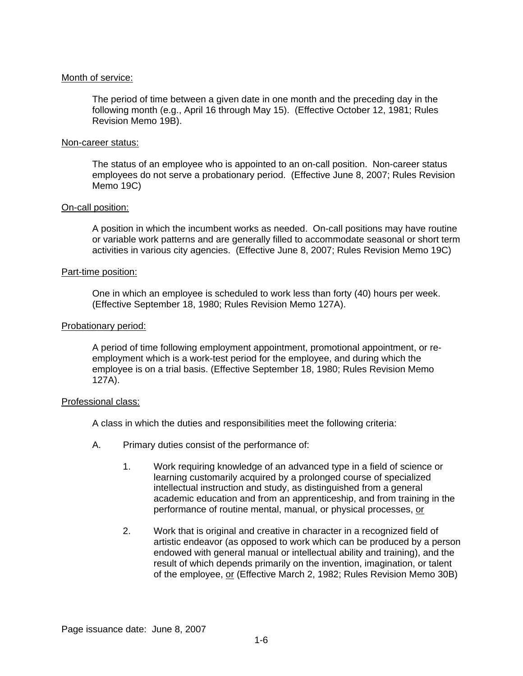## Month of service:

The period of time between a given date in one month and the preceding day in the following month (e.g., April 16 through May 15). (Effective October 12, 1981; Rules Revision Memo 19B).

### Non-career status:

The status of an employee who is appointed to an on-call position. Non-career status employees do not serve a probationary period. (Effective June 8, 2007; Rules Revision Memo 19C)

## On-call position:

A position in which the incumbent works as needed. On-call positions may have routine or variable work patterns and are generally filled to accommodate seasonal or short term activities in various city agencies. (Effective June 8, 2007; Rules Revision Memo 19C)

### Part-time position:

One in which an employee is scheduled to work less than forty (40) hours per week. (Effective September 18, 1980; Rules Revision Memo 127A).

### Probationary period:

A period of time following employment appointment, promotional appointment, or reemployment which is a work-test period for the employee, and during which the employee is on a trial basis. (Effective September 18, 1980; Rules Revision Memo 127A).

#### Professional class:

A class in which the duties and responsibilities meet the following criteria:

- A. Primary duties consist of the performance of:
	- 1. Work requiring knowledge of an advanced type in a field of science or learning customarily acquired by a prolonged course of specialized intellectual instruction and study, as distinguished from a general academic education and from an apprenticeship, and from training in the performance of routine mental, manual, or physical processes, or
	- 2. Work that is original and creative in character in a recognized field of artistic endeavor (as opposed to work which can be produced by a person endowed with general manual or intellectual ability and training), and the result of which depends primarily on the invention, imagination, or talent of the employee, or (Effective March 2, 1982; Rules Revision Memo 30B)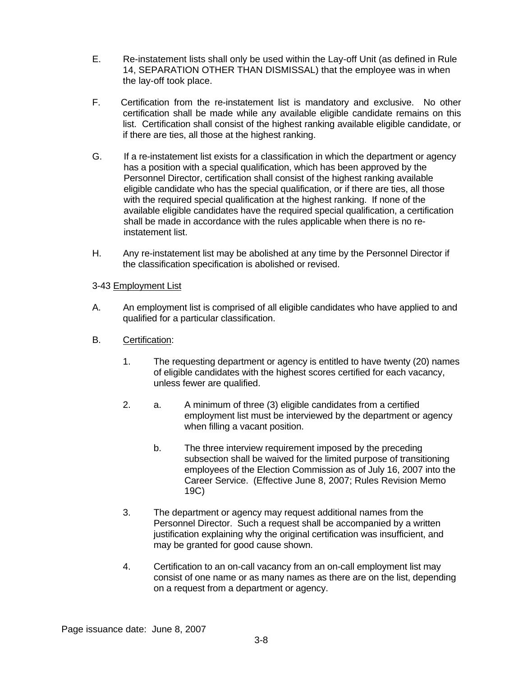- E. Re-instatement lists shall only be used within the Lay-off Unit (as defined in Rule 14, SEPARATION OTHER THAN DISMISSAL) that the employee was in when the lay-off took place.
- F. Certification from the re-instatement list is mandatory and exclusive. No other certification shall be made while any available eligible candidate remains on this list. Certification shall consist of the highest ranking available eligible candidate, or if there are ties, all those at the highest ranking.
- G. If a re-instatement list exists for a classification in which the department or agency has a position with a special qualification, which has been approved by the Personnel Director, certification shall consist of the highest ranking available eligible candidate who has the special qualification, or if there are ties, all those with the required special qualification at the highest ranking. If none of the available eligible candidates have the required special qualification, a certification shall be made in accordance with the rules applicable when there is no reinstatement list.
- H. Any re-instatement list may be abolished at any time by the Personnel Director if the classification specification is abolished or revised.

# 3-43 Employment List

- A. An employment list is comprised of all eligible candidates who have applied to and qualified for a particular classification.
- B. Certification:
	- 1. The requesting department or agency is entitled to have twenty (20) names of eligible candidates with the highest scores certified for each vacancy, unless fewer are qualified.
	- 2. a. A minimum of three (3) eligible candidates from a certified employment list must be interviewed by the department or agency when filling a vacant position.
		- b. The three interview requirement imposed by the preceding subsection shall be waived for the limited purpose of transitioning employees of the Election Commission as of July 16, 2007 into the Career Service. (Effective June 8, 2007; Rules Revision Memo 19C)
	- 3. The department or agency may request additional names from the Personnel Director. Such a request shall be accompanied by a written justification explaining why the original certification was insufficient, and may be granted for good cause shown.
	- 4. Certification to an on-call vacancy from an on-call employment list may consist of one name or as many names as there are on the list, depending on a request from a department or agency.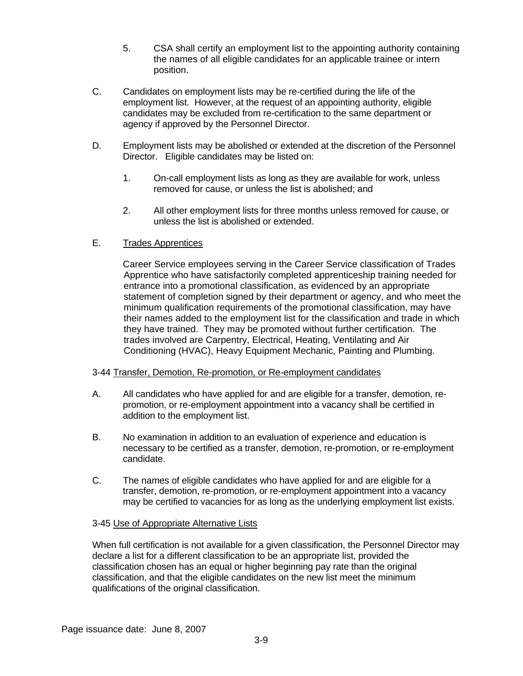- 5. CSA shall certify an employment list to the appointing authority containing the names of all eligible candidates for an applicable trainee or intern position.
- C. Candidates on employment lists may be re-certified during the life of the employment list. However, at the request of an appointing authority, eligible candidates may be excluded from re-certification to the same department or agency if approved by the Personnel Director.
- D. Employment lists may be abolished or extended at the discretion of the Personnel Director. Eligible candidates may be listed on:
	- 1. On-call employment lists as long as they are available for work, unless removed for cause, or unless the list is abolished; and
	- 2. All other employment lists for three months unless removed for cause, or unless the list is abolished or extended.

# E. Trades Apprentices

Career Service employees serving in the Career Service classification of Trades Apprentice who have satisfactorily completed apprenticeship training needed for entrance into a promotional classification, as evidenced by an appropriate statement of completion signed by their department or agency, and who meet the minimum qualification requirements of the promotional classification, may have their names added to the employment list for the classification and trade in which they have trained. They may be promoted without further certification. The trades involved are Carpentry, Electrical, Heating, Ventilating and Air Conditioning (HVAC), Heavy Equipment Mechanic, Painting and Plumbing.

# 3-44 Transfer, Demotion, Re-promotion, or Re-employment candidates

- A. All candidates who have applied for and are eligible for a transfer, demotion, repromotion, or re-employment appointment into a vacancy shall be certified in addition to the employment list.
- B. No examination in addition to an evaluation of experience and education is necessary to be certified as a transfer, demotion, re-promotion, or re-employment candidate.
- C. The names of eligible candidates who have applied for and are eligible for a transfer, demotion, re-promotion, or re-employment appointment into a vacancy may be certified to vacancies for as long as the underlying employment list exists.

# 3-45 Use of Appropriate Alternative Lists

When full certification is not available for a given classification, the Personnel Director may declare a list for a different classification to be an appropriate list, provided the classification chosen has an equal or higher beginning pay rate than the original classification, and that the eligible candidates on the new list meet the minimum qualifications of the original classification.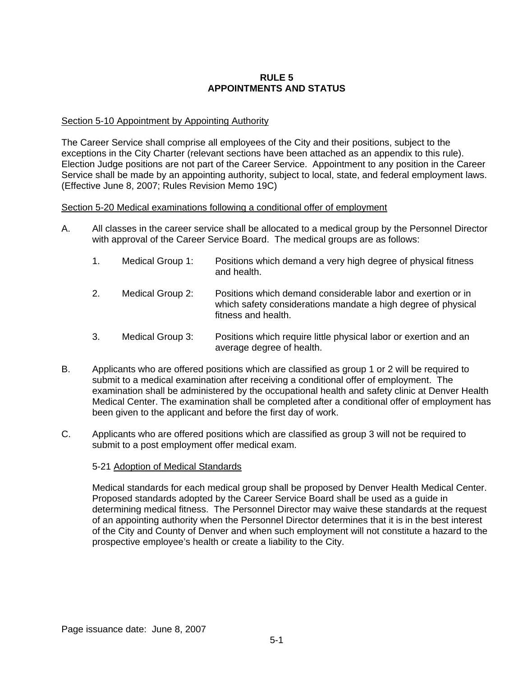## **RULE 5 APPOINTMENTS AND STATUS**

## Section 5-10 Appointment by Appointing Authority

The Career Service shall comprise all employees of the City and their positions, subject to the exceptions in the City Charter (relevant sections have been attached as an appendix to this rule). Election Judge positions are not part of the Career Service. Appointment to any position in the Career Service shall be made by an appointing authority, subject to local, state, and federal employment laws. (Effective June 8, 2007; Rules Revision Memo 19C)

## Section 5-20 Medical examinations following a conditional offer of employment

- A. All classes in the career service shall be allocated to a medical group by the Personnel Director with approval of the Career Service Board. The medical groups are as follows:
	- 1. Medical Group 1: Positions which demand a very high degree of physical fitness and health.
	- 2. Medical Group 2: Positions which demand considerable labor and exertion or in which safety considerations mandate a high degree of physical fitness and health.
	- 3. Medical Group 3: Positions which require little physical labor or exertion and an average degree of health.
- B. Applicants who are offered positions which are classified as group 1 or 2 will be required to submit to a medical examination after receiving a conditional offer of employment. The examination shall be administered by the occupational health and safety clinic at Denver Health Medical Center. The examination shall be completed after a conditional offer of employment has been given to the applicant and before the first day of work.
- C. Applicants who are offered positions which are classified as group 3 will not be required to submit to a post employment offer medical exam.

## 5-21 Adoption of Medical Standards

Medical standards for each medical group shall be proposed by Denver Health Medical Center. Proposed standards adopted by the Career Service Board shall be used as a guide in determining medical fitness. The Personnel Director may waive these standards at the request of an appointing authority when the Personnel Director determines that it is in the best interest of the City and County of Denver and when such employment will not constitute a hazard to the prospective employee's health or create a liability to the City.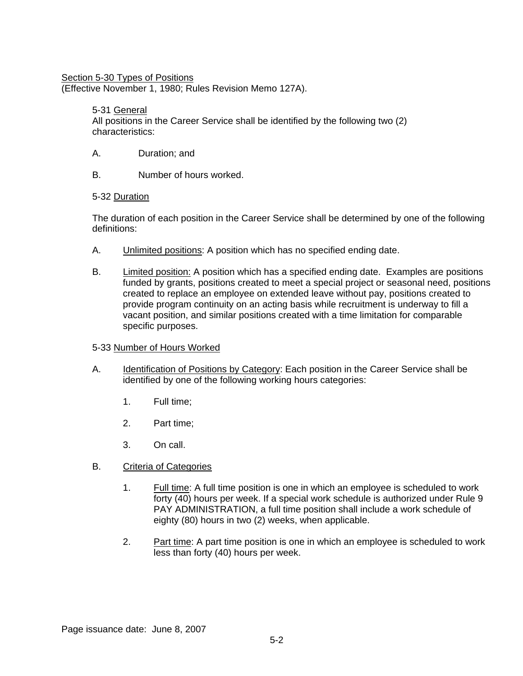## Section 5-30 Types of Positions

(Effective November 1, 1980; Rules Revision Memo 127A).

## 5-31 General

All positions in the Career Service shall be identified by the following two (2) characteristics:

- A. Duration; and
- B. Number of hours worked.

## 5-32 Duration

The duration of each position in the Career Service shall be determined by one of the following definitions:

- A. Unlimited positions: A position which has no specified ending date.
- B. Limited position: A position which has a specified ending date. Examples are positions funded by grants, positions created to meet a special project or seasonal need, positions created to replace an employee on extended leave without pay, positions created to provide program continuity on an acting basis while recruitment is underway to fill a vacant position, and similar positions created with a time limitation for comparable specific purposes.

## 5-33 Number of Hours Worked

- A. Identification of Positions by Category: Each position in the Career Service shall be identified by one of the following working hours categories:
	- 1. Full time;
	- 2. Part time;
	- 3. On call.
- B. Criteria of Categories
	- 1. Full time: A full time position is one in which an employee is scheduled to work forty (40) hours per week. If a special work schedule is authorized under Rule 9 PAY ADMINISTRATION, a full time position shall include a work schedule of eighty (80) hours in two (2) weeks, when applicable.
	- 2. Part time: A part time position is one in which an employee is scheduled to work less than forty (40) hours per week.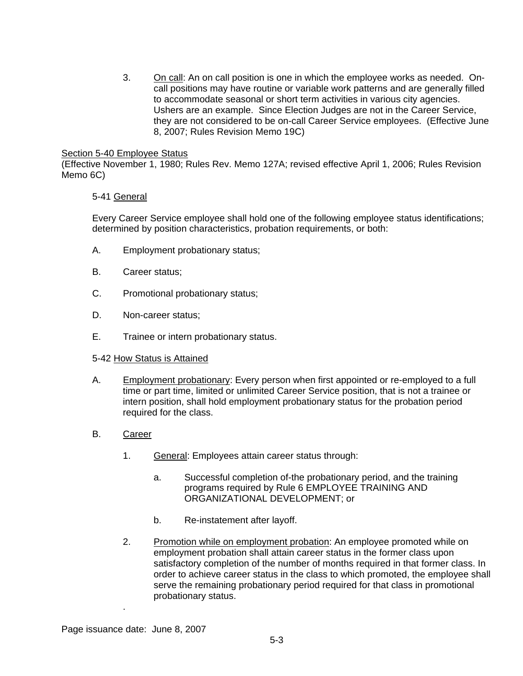3. On call: An on call position is one in which the employee works as needed. Oncall positions may have routine or variable work patterns and are generally filled to accommodate seasonal or short term activities in various city agencies. Ushers are an example. Since Election Judges are not in the Career Service, they are not considered to be on-call Career Service employees. (Effective June 8, 2007; Rules Revision Memo 19C)

## Section 5-40 Employee Status

(Effective November 1, 1980; Rules Rev. Memo 127A; revised effective April 1, 2006; Rules Revision Memo 6C)

## 5-41 General

Every Career Service employee shall hold one of the following employee status identifications; determined by position characteristics, probation requirements, or both:

- A. Employment probationary status;
- B. Career status;
- C. Promotional probationary status;
- D. Non-career status;
- E. Trainee or intern probationary status.

## 5-42 How Status is Attained

- A. Employment probationary: Every person when first appointed or re-employed to a full time or part time, limited or unlimited Career Service position, that is not a trainee or intern position, shall hold employment probationary status for the probation period required for the class.
- B. Career
	- 1. General: Employees attain career status through:
		- a. Successful completion of-the probationary period, and the training programs required by Rule 6 EMPLOYEE TRAINING AND ORGANIZATIONAL DEVELOPMENT; or
		- b. Re-instatement after layoff.
	- 2. Promotion while on employment probation: An employee promoted while on employment probation shall attain career status in the former class upon satisfactory completion of the number of months required in that former class. In order to achieve career status in the class to which promoted, the employee shall serve the remaining probationary period required for that class in promotional probationary status.

.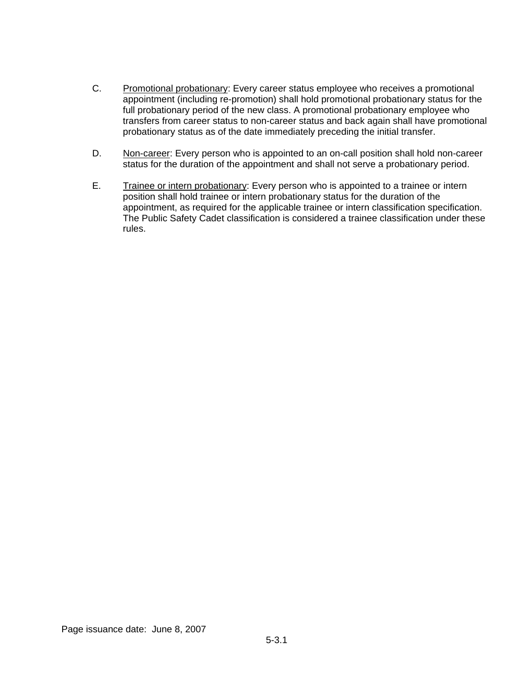- C. Promotional probationary: Every career status employee who receives a promotional appointment (including re-promotion) shall hold promotional probationary status for the full probationary period of the new class. A promotional probationary employee who transfers from career status to non-career status and back again shall have promotional probationary status as of the date immediately preceding the initial transfer.
- D. Non-career: Every person who is appointed to an on-call position shall hold non-career status for the duration of the appointment and shall not serve a probationary period.
- E. Trainee or intern probationary: Every person who is appointed to a trainee or intern position shall hold trainee or intern probationary status for the duration of the appointment, as required for the applicable trainee or intern classification specification. The Public Safety Cadet classification is considered a trainee classification under these rules.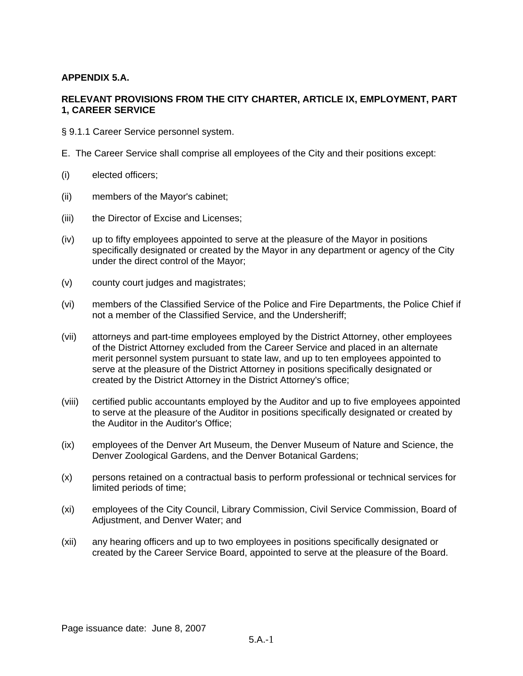# **APPENDIX 5.A.**

# **RELEVANT PROVISIONS FROM THE CITY CHARTER, ARTICLE IX, EMPLOYMENT, PART 1, CAREER SERVICE**

- § 9.1.1 Career Service personnel system.
- E. The Career Service shall comprise all employees of the City and their positions except:
- (i) elected officers;
- (ii) members of the Mayor's cabinet;
- (iii) the Director of Excise and Licenses;
- (iv) up to fifty employees appointed to serve at the pleasure of the Mayor in positions specifically designated or created by the Mayor in any department or agency of the City under the direct control of the Mayor;
- (v) county court judges and magistrates;
- (vi) members of the Classified Service of the Police and Fire Departments, the Police Chief if not a member of the Classified Service, and the Undersheriff;
- (vii) attorneys and part-time employees employed by the District Attorney, other employees of the District Attorney excluded from the Career Service and placed in an alternate merit personnel system pursuant to state law, and up to ten employees appointed to serve at the pleasure of the District Attorney in positions specifically designated or created by the District Attorney in the District Attorney's office;
- (viii) certified public accountants employed by the Auditor and up to five employees appointed to serve at the pleasure of the Auditor in positions specifically designated or created by the Auditor in the Auditor's Office;
- (ix) employees of the Denver Art Museum, the Denver Museum of Nature and Science, the Denver Zoological Gardens, and the Denver Botanical Gardens;
- (x) persons retained on a contractual basis to perform professional or technical services for limited periods of time;
- (xi) employees of the City Council, Library Commission, Civil Service Commission, Board of Adjustment, and Denver Water; and
- (xii) any hearing officers and up to two employees in positions specifically designated or created by the Career Service Board, appointed to serve at the pleasure of the Board.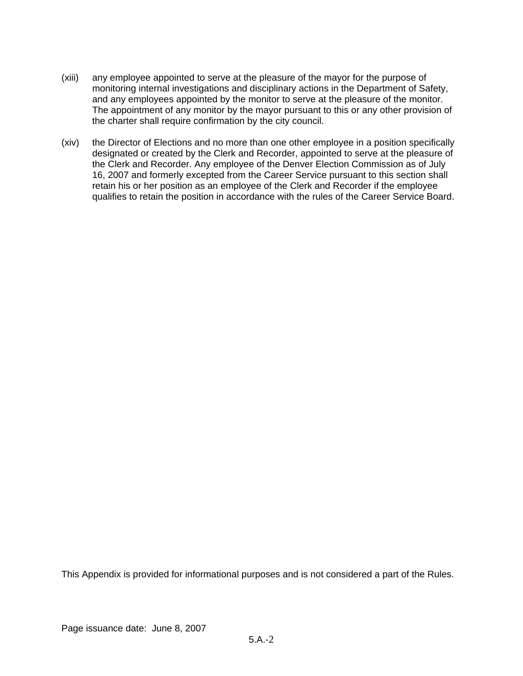- (xiii) any employee appointed to serve at the pleasure of the mayor for the purpose of monitoring internal investigations and disciplinary actions in the Department of Safety, and any employees appointed by the monitor to serve at the pleasure of the monitor. The appointment of any monitor by the mayor pursuant to this or any other provision of the charter shall require confirmation by the city council.
- (xiv) the Director of Elections and no more than one other employee in a position specifically designated or created by the Clerk and Recorder, appointed to serve at the pleasure of the Clerk and Recorder. Any employee of the Denver Election Commission as of July 16, 2007 and formerly excepted from the Career Service pursuant to this section shall retain his or her position as an employee of the Clerk and Recorder if the employee qualifies to retain the position in accordance with the rules of the Career Service Board.

This Appendix is provided for informational purposes and is not considered a part of the Rules.